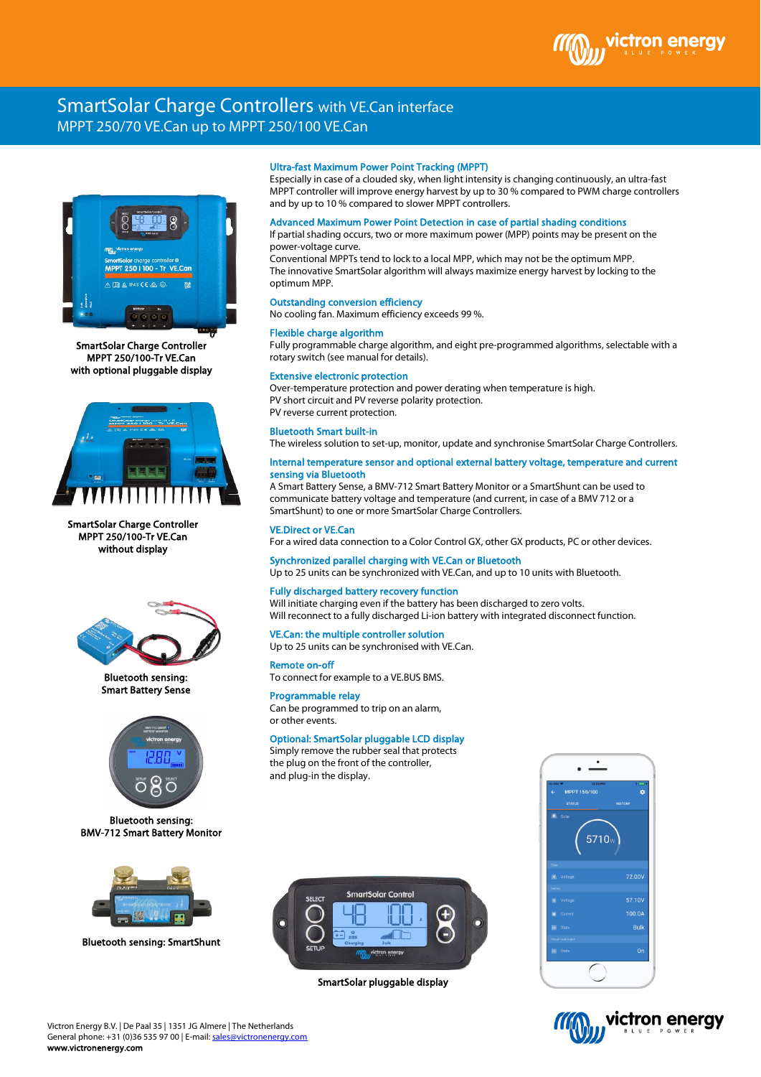# SmartSolar Charge Controllers with VE.Can interface MPPT 250/70 VE.Can up to MPPT 250/100 VE.Can



SmartSolar Charge Controller MPPT 250/100-Tr VE.Can with optional pluggable display



SmartSolar Charge Controller MPPT 250/100-Tr VE.Can without display



Bluetooth sensing: Smart Battery Sense



Bluetooth sensing: BMV-712 Smart Battery Monitor



Bluetooth sensing: SmartShunt

# Ultra-fast Maximum Power Point Tracking (MPPT)

Especially in case of a clouded sky, when light intensity is changing continuously, an ultra-fast MPPT controller will improve energy harvest by up to 30 % compared to PWM charge controllers and by up to 10 % compared to slower MPPT controllers.

#### Advanced Maximum Power Point Detection in case of partial shading conditions

If partial shading occurs, two or more maximum power (MPP) points may be present on the power-voltage curve.

Conventional MPPTs tend to lock to a local MPP, which may not be the optimum MPP. The innovative SmartSolar algorithm will always maximize energy harvest by locking to the optimum MPP.

# Outstanding conversion efficiency

No cooling fan. Maximum efficiency exceeds 99 %.

#### Flexible charge algorithm

Fully programmable charge algorithm, and eight pre-programmed algorithms, selectable with a rotary switch (see manual for details).

#### Extensive electronic protection

Over-temperature protection and power derating when temperature is high. PV short circuit and PV reverse polarity protection. PV reverse current protection.

# Bluetooth Smart built-in

The wireless solution to set-up, monitor, update and synchronise SmartSolar Charge Controllers.

#### Internal temperature sensor and optional external battery voltage, temperature and current sensing via Bluetooth

A Smart Battery Sense, a BMV-712 Smart Battery Monitor or a SmartShunt can be used to communicate battery voltage and temperature (and current, in case of a BMV 712 or a SmartShunt) to one or more SmartSolar Charge Controllers.

# VE.Direct or VE.Can

For a wired data connection to a Color Control GX, other GX products, PC or other devices.

#### Synchronized parallel charging with VE.Can or Bluetooth

Up to 25 units can be synchronized with VE.Can, and up to 10 units with Bluetooth.

# Fully discharged battery recovery function

Will initiate charging even if the battery has been discharged to zero volts. Will reconnect to a fully discharged Li-ion battery with integrated disconnect function.

# VE.Can: the multiple controller solution

Up to 25 units can be synchronised with VE.Can.

# Remote on-off

To connect for example to a VE.BUS BMS.

# Programmable relay

Can be programmed to trip on an alarm, or other events.

#### Optional: SmartSolar pluggable LCD display

Simply remove the rubber seal that protects the plug on the front of the controller, and plug-in the display.



SmartSolar pluggable display